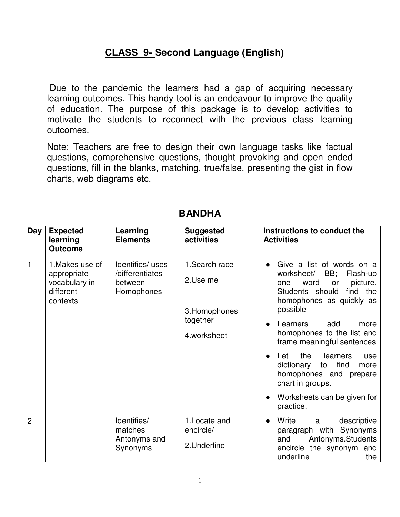## **CLASS 9- Second Language (English)**

 Due to the pandemic the learners had a gap of acquiring necessary learning outcomes. This handy tool is an endeavour to improve the quality of education. The purpose of this package is to develop activities to motivate the students to reconnect with the previous class learning outcomes.

Note: Teachers are free to design their own language tasks like factual questions, comprehensive questions, thought provoking and open ended questions, fill in the blanks, matching, true/false, presenting the gist in flow charts, web diagrams etc.

| Day            | <b>Expected</b><br>learning<br><b>Outcome</b>                            | Learning<br><b>Elements</b>                                 | <b>Suggested</b><br>activities                                         | Instructions to conduct the<br><b>Activities</b>                                                                                                                                                                                                          |
|----------------|--------------------------------------------------------------------------|-------------------------------------------------------------|------------------------------------------------------------------------|-----------------------------------------------------------------------------------------------------------------------------------------------------------------------------------------------------------------------------------------------------------|
| $\mathbf{1}$   | 1. Makes use of<br>appropriate<br>vocabulary in<br>different<br>contexts | Identifies/uses<br>/differentiates<br>between<br>Homophones | 1. Search race<br>2.Use me<br>3. Homophones<br>together<br>4.worksheet | Give a list of words on a<br>BB;<br>worksheet/<br>Flash-up<br>word<br>picture.<br>or<br>one<br>find the<br>Students should<br>homophones as quickly as<br>possible<br>add<br>Learners<br>more<br>homophones to the list and<br>frame meaningful sentences |
|                |                                                                          |                                                             |                                                                        | the<br>learners<br>Let<br>use<br>find<br>dictionary<br>to<br>more<br>homophones and prepare<br>chart in groups.<br>Worksheets can be given for<br>practice.                                                                                               |
| $\overline{2}$ |                                                                          | Identifies/<br>matches<br>Antonyms and<br>Synonyms          | 1. Locate and<br>encircle/<br>2. Underline                             | Write<br>descriptive<br>a<br>$\bullet$<br>paragraph with Synonyms<br>Antonyms.Students<br>and<br>encircle the synonym and<br>underline<br>the                                                                                                             |

## **BANDHA**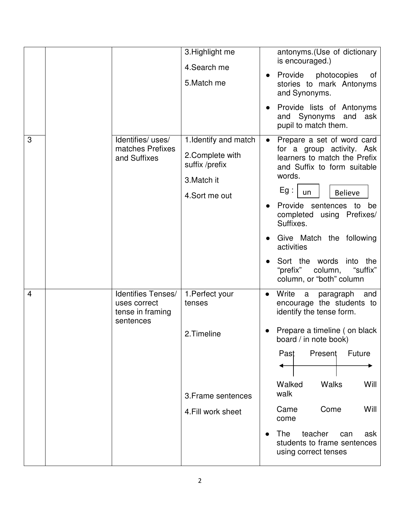| 3              | Identifies/uses/<br>matches Prefixes<br>and Suffixes                | 3. Highlight me<br>4. Search me<br>5. Match me<br>1. Identify and match<br>2. Complete with<br>suffix /prefix<br>3. Match it<br>4.Sort me out | antonyms. (Use of dictionary<br>is encouraged.)<br>Provide photocopies<br>of<br>stories to mark Antonyms<br>and Synonyms.<br>Provide lists of Antonyms<br>Synonyms and<br>ask<br>and<br>pupil to match them.<br>Prepare a set of word card<br>$\bullet$<br>for a group activity. Ask<br>learners to match the Prefix<br>and Suffix to form suitable<br>words.<br>Eg:<br><b>Believe</b><br>un<br>Provide sentences to<br>be<br>completed using Prefixes/<br>Suffixes.<br>Give Match the following<br>activities<br>Sort the words<br>into the<br>"prefix"<br>"suffix"<br>column,<br>column, or "both" column |
|----------------|---------------------------------------------------------------------|-----------------------------------------------------------------------------------------------------------------------------------------------|-------------------------------------------------------------------------------------------------------------------------------------------------------------------------------------------------------------------------------------------------------------------------------------------------------------------------------------------------------------------------------------------------------------------------------------------------------------------------------------------------------------------------------------------------------------------------------------------------------------|
| $\overline{4}$ | Identifies Tenses/<br>uses correct<br>tense in framing<br>sentences | 1. Perfect your<br>tenses<br>2.Timeline<br>3. Frame sentences<br>4. Fill work sheet                                                           | Write<br>a<br>paragraph<br>and<br>$\bullet$<br>encourage the students to<br>identify the tense form.<br>Prepare a timeline (on black<br>board / in note book)<br>Present<br>Future<br>Past<br><b>Walks</b><br>Walked<br>Will<br>walk<br>Come<br>Will<br>Came<br>come<br><b>The</b><br>teacher<br>can<br>ask<br>students to frame sentences<br>using correct tenses                                                                                                                                                                                                                                          |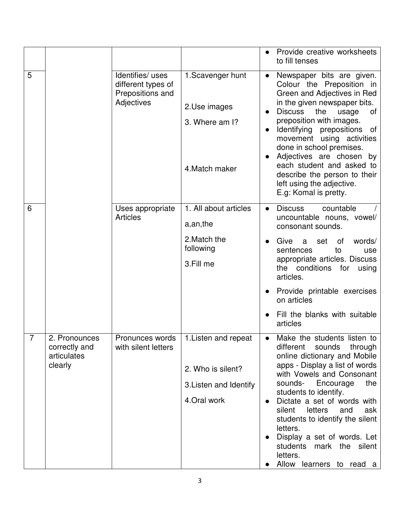|                |                                                          |                                                                         |                                                                                     |           | Provide creative worksheets<br>to fill tenses                                                                                                                                                                                                                                                                                                                                                                                            |
|----------------|----------------------------------------------------------|-------------------------------------------------------------------------|-------------------------------------------------------------------------------------|-----------|------------------------------------------------------------------------------------------------------------------------------------------------------------------------------------------------------------------------------------------------------------------------------------------------------------------------------------------------------------------------------------------------------------------------------------------|
| 5              |                                                          | Identifies/uses<br>different types of<br>Prepositions and<br>Adjectives | 1. Scavenger hunt<br>2.Use images<br>3. Where am I?<br>4. Match maker               |           | Newspaper bits are given.<br>Colour the Preposition in<br>Green and Adjectives in Red<br>in the given newspaper bits.<br><b>Discuss</b><br>the<br>usage<br>0f<br>preposition with images.<br>Identifying prepositions of<br>movement using activities<br>done in school premises.<br>Adjectives are chosen<br>by<br>each student and asked to<br>describe the person to their<br>left using the adjective.<br>E.g: Komal is pretty.      |
| 6              |                                                          | Uses appropriate<br><b>Articles</b>                                     | 1. All about articles<br>a, an, the                                                 | $\bullet$ | countable<br><b>Discuss</b><br>uncountable nouns, vowel/<br>consonant sounds.                                                                                                                                                                                                                                                                                                                                                            |
|                |                                                          |                                                                         | 2. Match the<br>following<br>3.Fill me                                              |           | Give<br>words/<br>0f<br>set<br>a<br>sentences<br>to<br>use<br>appropriate articles. Discuss<br>the conditions<br>for<br>using<br>articles.                                                                                                                                                                                                                                                                                               |
|                |                                                          |                                                                         |                                                                                     |           | Provide printable exercises<br>on articles                                                                                                                                                                                                                                                                                                                                                                                               |
|                |                                                          |                                                                         |                                                                                     |           | Fill the blanks with suitable<br>articles                                                                                                                                                                                                                                                                                                                                                                                                |
| $\overline{7}$ | 2. Pronounces<br>correctly and<br>articulates<br>clearly | Pronunces words<br>with silent letters                                  | 1. Listen and repeat<br>2. Who is silent?<br>3. Listen and Identify<br>4. Oral work |           | Make the students listen to<br>different<br>sounds<br>through<br>online dictionary and Mobile<br>apps - Display a list of words<br>with Vowels and Consonant<br>sounds-<br>the<br>Encourage<br>students to identify.<br>Dictate a set of words with<br>silent<br>letters<br>and<br>ask<br>students to identify the silent<br>letters.<br>Display a set of words. Let<br>students mark the silent<br>letters.<br>Allow learners to read a |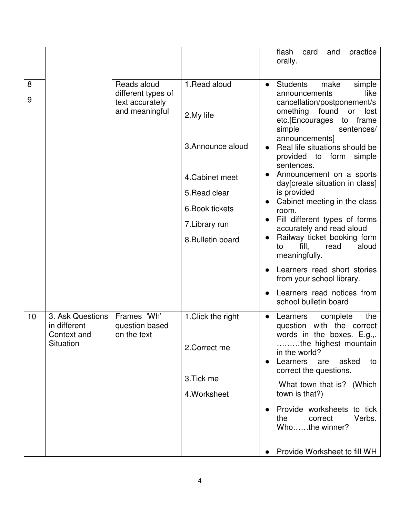|        |                                                 |                                                      |                            | practice<br>flash<br>card<br>and<br>orally.                                                                 |
|--------|-------------------------------------------------|------------------------------------------------------|----------------------------|-------------------------------------------------------------------------------------------------------------|
| 8<br>9 |                                                 | Reads aloud<br>different types of<br>text accurately | 1. Read aloud              | <b>Students</b><br>make<br>simple<br>$\bullet$<br>like<br>announcements<br>cancellation/postponement/s      |
|        |                                                 | and meaningful                                       | 2.My life                  | omething<br>found<br>lost<br>or<br>etc.[Encourages<br>frame<br>to<br>simple<br>sentences/<br>announcements] |
|        |                                                 |                                                      | 3. Announce aloud          | Real life situations should be<br>provided to form<br>simple<br>sentences.                                  |
|        |                                                 |                                                      | 4. Cabinet meet            | Announcement on a sports<br>day[create situation in class]                                                  |
|        |                                                 |                                                      | 5. Read clear              | is provided<br>Cabinet meeting in the class                                                                 |
|        |                                                 |                                                      | 6. Book tickets            | room.<br>Fill different types of forms                                                                      |
|        |                                                 |                                                      | 7. Library run             | accurately and read aloud<br>Railway ticket booking form                                                    |
|        |                                                 |                                                      | 8. Bulletin board          | fill,<br>aloud<br>read<br>to<br>meaningfully.                                                               |
|        |                                                 |                                                      |                            | Learners read short stories<br>from your school library.                                                    |
|        |                                                 |                                                      |                            | Learners read notices from<br>school bulletin board                                                         |
| 10     | 3. Ask Questions<br>in different<br>Context and | Frames 'Wh'<br>question based<br>on the text         | 1. Click the right         | complete<br>the<br>Learners<br>$\bullet$<br>with the correct<br>question<br>words in the boxes. E.g.,.      |
|        | Situation                                       |                                                      | 2. Correct me              | the highest mountain<br>in the world?<br>asked<br>Learners<br>are<br>to<br>correct the questions.           |
|        |                                                 |                                                      | 3. Tick me<br>4. Worksheet | What town that is? (Which<br>town is that?)                                                                 |
|        |                                                 |                                                      |                            | Provide worksheets to tick<br>Verbs.<br>the<br>correct<br>Whothe winner?                                    |
|        |                                                 |                                                      |                            | Provide Worksheet to fill WH                                                                                |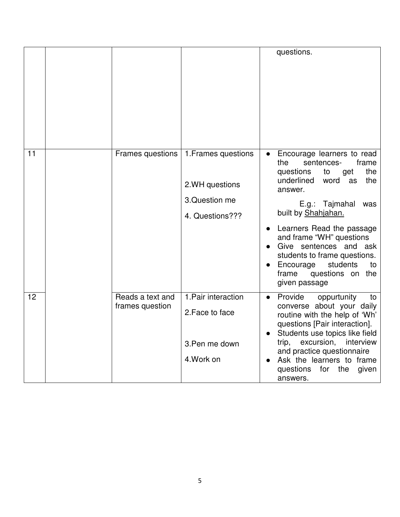|    |                                     |                                                                            | questions.                                                                                                                                                                                                                                                                                                                                                                                   |
|----|-------------------------------------|----------------------------------------------------------------------------|----------------------------------------------------------------------------------------------------------------------------------------------------------------------------------------------------------------------------------------------------------------------------------------------------------------------------------------------------------------------------------------------|
| 11 | Frames questions                    | 1. Frames questions<br>2.WH questions<br>3. Question me<br>4. Questions??? | Encourage learners to read<br>the<br>sentences-<br>frame<br>the<br>questions<br>to<br>get<br>underlined<br>word<br>the<br>as<br>answer.<br>E.g.: Tajmahal<br>was<br>built by Shahjahan.<br>• Learners Read the passage<br>and frame "WH" questions<br>Give sentences and ask<br>students to frame questions.<br>students<br>Encourage<br>to<br>questions on<br>frame<br>the<br>given passage |
| 12 | Reads a text and<br>frames question | 1. Pair interaction<br>2. Face to face<br>3. Pen me down<br>4. Work on     | Provide<br>oppurtunity<br>to<br>$\bullet$<br>converse about your daily<br>routine with the help of 'Wh'<br>questions [Pair interaction].<br>Students use topics like field<br>trip,<br>excursion,<br>interview<br>and practice questionnaire<br>Ask the learners to frame<br>questions<br>for the<br>given<br>answers.                                                                       |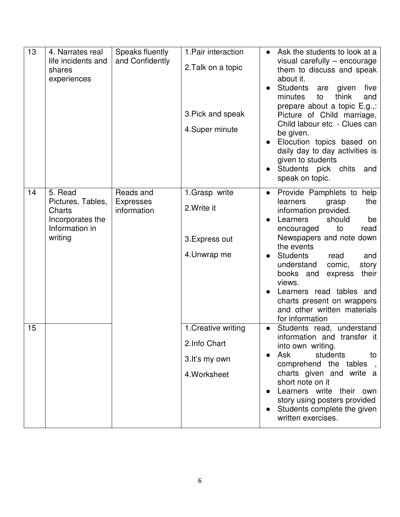| 13 | 4. Narrates real<br>life incidents and<br>shares<br>experiences                         | Speaks fluently<br>and Confidently           | 1. Pair interaction<br>2. Talk on a topic<br>3. Pick and speak<br>4. Super minute | Ask the students to look at a<br>visual carefully - encourage<br>them to discuss and speak<br>about it.<br><b>Students</b><br>given<br>five<br>are<br>think<br>minutes<br>to<br>and<br>prepare about a topic E.g.,:<br>Picture of Child marriage,<br>Child labour etc. - Clues can<br>be given.<br>Elocution topics based on<br>daily day to day activities is<br>given to students<br>Students pick chits<br>and<br>speak on topic. |
|----|-----------------------------------------------------------------------------------------|----------------------------------------------|-----------------------------------------------------------------------------------|--------------------------------------------------------------------------------------------------------------------------------------------------------------------------------------------------------------------------------------------------------------------------------------------------------------------------------------------------------------------------------------------------------------------------------------|
| 14 | 5. Read<br>Pictures, Tables,<br>Charts<br>Incorporates the<br>Information in<br>writing | Reads and<br><b>Expresses</b><br>information | 1.Grasp write<br>2. Write it<br>3. Express out<br>4. Unwrap me                    | Provide Pamphlets to help<br>$\bullet$<br>learners<br>the<br>grasp<br>information provided.<br>Learners<br>should<br>be<br>read<br>to<br>encouraged<br>Newspapers and note down<br>the events<br>Students<br>and<br>read<br>understand<br>comic,<br>story<br>books and<br>their<br>express<br>views.<br>Learners read tables and<br>charts present on wrappers<br>and other written materials<br>for information                     |
| 15 |                                                                                         |                                              | 1. Creative writing<br>2.Info Chart<br>3.It's my own<br>4. Worksheet              | Students read, understand<br>information and transfer it<br>into own writing.<br>Ask<br>students<br>to<br>comprehend the tables<br>$\overline{\phantom{a}}$<br>charts given and write a<br>short note on it<br>Learners write their own<br>story using posters provided<br>Students complete the given<br>written exercises.                                                                                                         |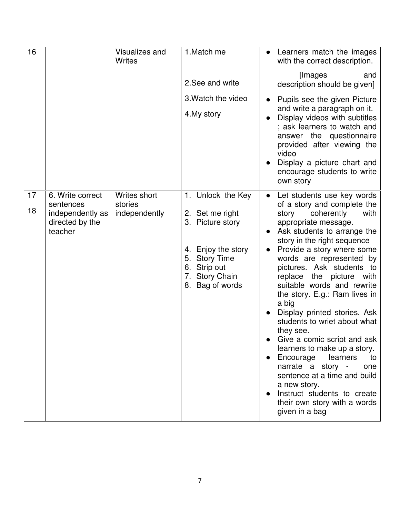| 16       |                                                                                 | <b>Visualizes and</b><br><b>Writes</b>   | 1.Match me                                                                                                                                           | Learners match the images<br>with the correct description.                                                                                                                                                                                                                                                                                                                                                                                                                                                                                                                                                                                                                                                                        |
|----------|---------------------------------------------------------------------------------|------------------------------------------|------------------------------------------------------------------------------------------------------------------------------------------------------|-----------------------------------------------------------------------------------------------------------------------------------------------------------------------------------------------------------------------------------------------------------------------------------------------------------------------------------------------------------------------------------------------------------------------------------------------------------------------------------------------------------------------------------------------------------------------------------------------------------------------------------------------------------------------------------------------------------------------------------|
|          |                                                                                 |                                          | 2.See and write                                                                                                                                      | [Images]<br>and<br>description should be given]                                                                                                                                                                                                                                                                                                                                                                                                                                                                                                                                                                                                                                                                                   |
|          |                                                                                 |                                          | 3. Watch the video<br>4. My story                                                                                                                    | Pupils see the given Picture<br>and write a paragraph on it.<br>Display videos with subtitles<br>; ask learners to watch and<br>answer the questionnaire<br>provided after viewing the<br>video<br>Display a picture chart and<br>encourage students to write<br>own story                                                                                                                                                                                                                                                                                                                                                                                                                                                        |
| 17<br>18 | 6. Write correct<br>sentences<br>independently as<br>directed by the<br>teacher | Writes short<br>stories<br>independently | 1. Unlock the Key<br>2. Set me right<br>3. Picture story<br>4. Enjoy the story<br>5. Story Time<br>6. Strip out<br>7. Story Chain<br>8. Bag of words | Let students use key words<br>$\bullet$<br>of a story and complete the<br>coherently<br>with<br>story<br>appropriate message.<br>Ask students to arrange the<br>story in the right sequence<br>Provide a story where some<br>words are represented by<br>pictures. Ask students to<br>replace<br>the picture with<br>suitable words and rewrite<br>the story. E.g.: Ram lives in<br>a big<br>Display printed stories. Ask<br>students to wriet about what<br>they see.<br>Give a comic script and ask<br>learners to make up a story.<br>Encourage<br>learners<br>to<br>narrate a story -<br>one<br>sentence at a time and build<br>a new story.<br>Instruct students to create<br>their own story with a words<br>given in a bag |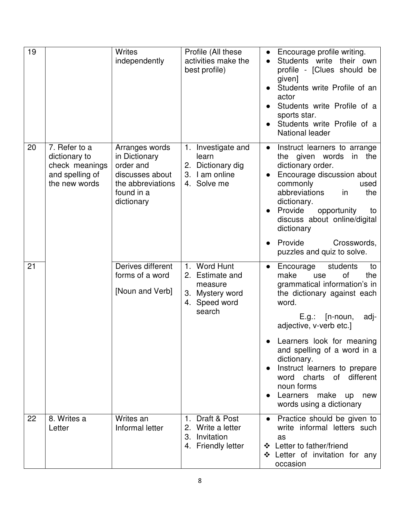| 19 |                                                                                      | <b>Writes</b><br>independently                                                                                   | Profile (All these<br>activities make the<br>best profile)                               | Encourage profile writing.<br>$\bullet$<br>Students write their own<br>profile - [Clues should be<br>given]<br>Students write Profile of an<br>actor<br>Students write Profile of a<br>sports star.<br>Students write Profile of a<br>National leader                                                                                                                                                                                                  |
|----|--------------------------------------------------------------------------------------|------------------------------------------------------------------------------------------------------------------|------------------------------------------------------------------------------------------|--------------------------------------------------------------------------------------------------------------------------------------------------------------------------------------------------------------------------------------------------------------------------------------------------------------------------------------------------------------------------------------------------------------------------------------------------------|
| 20 | 7. Refer to a<br>dictionary to<br>check meanings<br>and spelling of<br>the new words | Arranges words<br>in Dictionary<br>order and<br>discusses about<br>the abbreviations<br>found in a<br>dictionary | 1. Investigate and<br>learn<br>2. Dictionary dig<br>3. I am online<br>4. Solve me        | Instruct learners to arrange<br>$\bullet$<br>the given words<br>in the<br>dictionary order.<br>Encourage discussion about<br>commonly<br>used<br>abbreviations<br>the<br>in<br>dictionary.<br>Provide<br>opportunity<br>to<br>discuss about online/digital<br>dictionary<br>Provide<br>Crosswords,<br>$\bullet$                                                                                                                                        |
| 21 |                                                                                      | Derives different<br>forms of a word<br>[Noun and Verb]                                                          | 1. Word Hunt<br>2. Estimate and<br>measure<br>3. Mystery word<br>4. Speed word<br>search | puzzles and quiz to solve.<br>students<br>Encourage<br>to<br>$\bullet$<br>of<br>make<br>the<br>use<br>grammatical information's in<br>the dictionary against each<br>word.<br>$[n-noun,$<br>E.g.:<br>adj-<br>adjective, v-verb etc.]<br>Learners look for meaning<br>and spelling of a word in a<br>dictionary.<br>Instruct learners to prepare<br>word charts of different<br>noun forms<br>Learners<br>make<br>up<br>new<br>words using a dictionary |
| 22 | 8. Writes a<br>Letter                                                                | Writes an<br>Informal letter                                                                                     | 1. Draft & Post<br>2. Write a letter<br>3. Invitation<br>4. Friendly letter              | Practice should be given to<br>write informal letters such<br>as<br>❖ Letter to father/friend<br>❖ Letter of invitation for any<br>occasion                                                                                                                                                                                                                                                                                                            |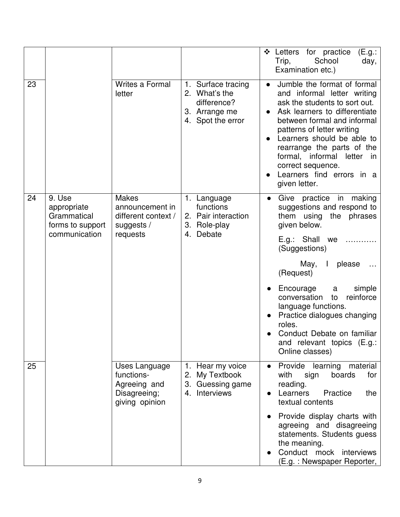|    |                                                                           |                                                                                  |                                                                                          | Letters for practice<br>❖<br>(E.g.:<br>School<br>Trip,<br>day,<br>Examination etc.)                                                                                                                                                                                                                                                                                                                                |
|----|---------------------------------------------------------------------------|----------------------------------------------------------------------------------|------------------------------------------------------------------------------------------|--------------------------------------------------------------------------------------------------------------------------------------------------------------------------------------------------------------------------------------------------------------------------------------------------------------------------------------------------------------------------------------------------------------------|
| 23 |                                                                           | <b>Writes a Formal</b><br>letter                                                 | 1. Surface tracing<br>2. What's the<br>difference?<br>3. Arrange me<br>4. Spot the error | Jumble the format of formal<br>$\bullet$<br>and informal letter writing<br>ask the students to sort out.<br>Ask learners to differentiate<br>between formal and informal<br>patterns of letter writing<br>Learners should be able to<br>rearrange the parts of the<br>formal, informal<br>letter<br>in<br>correct sequence.<br>Learners find errors in a<br>given letter.                                          |
| 24 | 9. Use<br>appropriate<br>Grammatical<br>forms to support<br>communication | <b>Makes</b><br>announcement in<br>different context /<br>suggests /<br>requests | 1. Language<br>functions<br>2. Pair interaction<br>3. Role-play<br>Debate<br>4.          | practice in<br>Give<br>making<br>$\bullet$<br>suggestions and respond to<br>them using the phrases<br>given below.<br>E.g.: Shall we<br>(Suggestions)<br>$\mathbf{I}$<br>please<br>May,<br>(Request)<br>simple<br>Encourage<br>a<br>conversation<br>reinforce<br>to<br>language functions.<br>Practice dialogues changing<br>roles.<br>Conduct Debate on familiar<br>and relevant topics (E.g.:<br>Online classes) |
| 25 |                                                                           | Uses Language<br>functions-<br>Agreeing and<br>Disagreeing;<br>giving opinion    | 1. Hear my voice<br>2.<br>My Textbook<br>3. Guessing game<br>Interviews<br>4.            | Provide learning material<br>with<br>boards<br>sign<br>for<br>reading.<br>Learners<br>Practice<br>the<br>textual contents<br>Provide display charts with<br>agreeing and disagreeing<br>statements. Students guess<br>the meaning.<br>Conduct mock interviews<br>(E.g.: Newspaper Reporter,                                                                                                                        |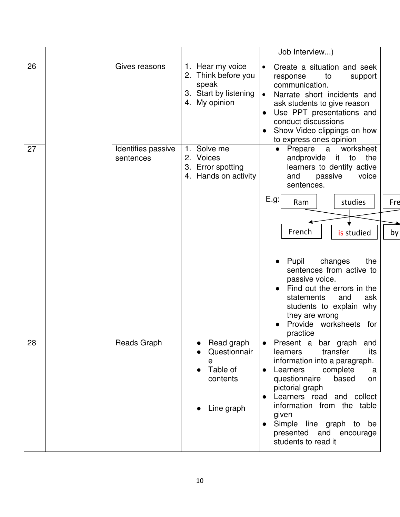|    |                                 |                                                                                            | Job Interview)                                                                                                                                                                                                                                                                                                                          |     |
|----|---------------------------------|--------------------------------------------------------------------------------------------|-----------------------------------------------------------------------------------------------------------------------------------------------------------------------------------------------------------------------------------------------------------------------------------------------------------------------------------------|-----|
| 26 | Gives reasons                   | 1. Hear my voice<br>2. Think before you<br>speak<br>3. Start by listening<br>4. My opinion | Create a situation and seek<br>$\bullet$<br>to<br>response<br>support<br>communication.<br>$\bullet$<br>Narrate short incidents and<br>ask students to give reason<br>Use PPT presentations and<br>conduct discussions<br>Show Video clippings on how<br>to express ones opinion                                                        |     |
| 27 | Identifies passive<br>sentences | Solve me<br>1.<br>2. Voices<br>3. Error spotting<br>4. Hands on activity                   | worksheet<br>Prepare<br>a a<br>$\bullet$<br>andprovide it to<br>the<br>learners to dentify active<br>passive<br>and<br>voice<br>sentences.                                                                                                                                                                                              |     |
|    |                                 |                                                                                            | E.g.<br>studies<br>Ram                                                                                                                                                                                                                                                                                                                  | Fre |
|    |                                 |                                                                                            | French                                                                                                                                                                                                                                                                                                                                  |     |
|    |                                 |                                                                                            | is studied<br>Pupil<br>changes<br>the<br>sentences from active to<br>passive voice.<br>Find out the errors in the<br>statements<br>ask<br>and<br>students to explain why                                                                                                                                                                | by  |
|    |                                 |                                                                                            | they are wrong<br>Provide worksheets for                                                                                                                                                                                                                                                                                                |     |
| 28 | Reads Graph                     | Read graph<br>Questionnair<br>e<br>Table of<br>contents<br>Line graph                      | practice<br>Present a bar graph<br>and<br>transfer<br>learners<br>its<br>information into a paragraph.<br>Learners<br>complete<br>a<br>questionnaire<br>based<br>on<br>pictorial graph<br>Learners read and collect<br>information from the table<br>given<br>Simple line graph to be<br>presented and encourage<br>students to read it |     |